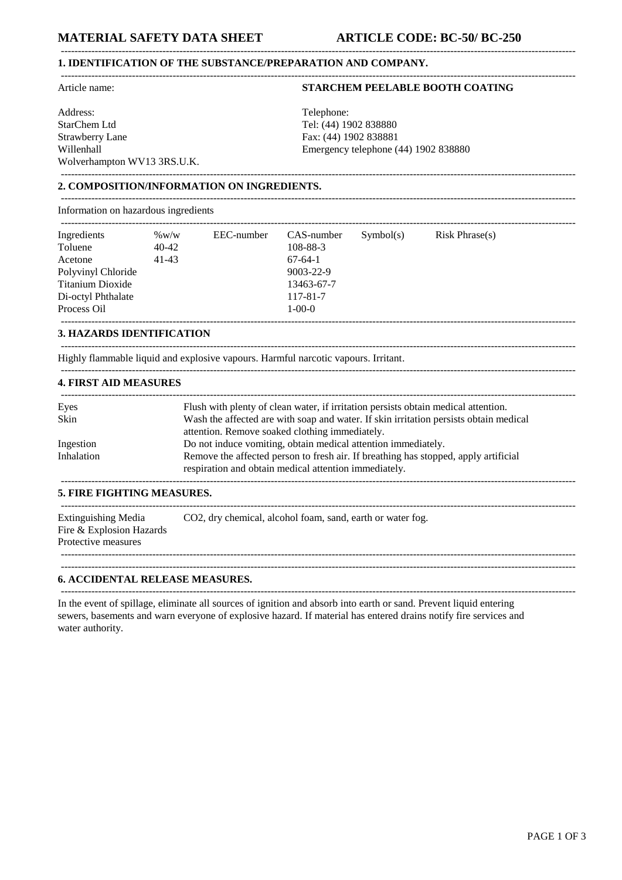#### **1. IDENTIFICATION OF THE SUBSTANCE/PREPARATION AND COMPANY.** --------------------------------------------------------------------------------------------------------------------------------------------------------

Address: Telephone: Telephone: Telephone: Telephone: Telephone: Telephone: Telephone: Telephone: Telephone: Telephone:  $\frac{1}{2}$ StarChem Ltd Tel: (44) 1902 838880 Strawberry Lane Fax: (44) 1902 838881 Wolverhampton WV13 3RS.U.K. --------------------------------------------------------------------------------------------------------------------------------------------------------

# Article name: **STARCHEM PEELABLE BOOTH COATING**

Willenhall Emergency telephone (44) 1902 838880

# **2. COMPOSITION/INFORMATION ON INGREDIENTS.**

Information on hazardous ingredients

| Ingredients        | $\%$ W/W | EEC-number | CAS-number      | Symbol(s) | Risk Phrase(s) |
|--------------------|----------|------------|-----------------|-----------|----------------|
| Toluene            | 40-42    |            | 108-88-3        |           |                |
| Acetone            | 41-43    |            | $67-64-1$       |           |                |
| Polyvinyl Chloride |          |            | $9003 - 22 - 9$ |           |                |
| Titanium Dioxide   |          |            | 13463-67-7      |           |                |
| Di-octyl Phthalate |          |            | 117-81-7        |           |                |
| Process Oil        |          |            | $1 - 00 - 0$    |           |                |

--------------------------------------------------------------------------------------------------------------------------------------------------------

--------------------------------------------------------------------------------------------------------------------------------------------------------

--------------------------------------------------------------------------------------------------------------------------------------------------------

--------------------------------------------------------------------------------------------------------------------------------------------------------

#### **3. HAZARDS IDENTIFICATION**

Highly flammable liquid and explosive vapours. Harmful narcotic vapours. Irritant.

## **4. FIRST AID MEASURES**

| Eyes       | Flush with plenty of clean water, if irritation persists obtain medical attention.                                                           |
|------------|----------------------------------------------------------------------------------------------------------------------------------------------|
| Skin       | Wash the affected are with soap and water. If skin irritation persists obtain medical                                                        |
|            | attention. Remove soaked clothing immediately.                                                                                               |
| Ingestion  | Do not induce vomiting, obtain medical attention immediately.                                                                                |
| Inhalation | Remove the affected person to fresh air. If breathing has stopped, apply artificial<br>respiration and obtain medical attention immediately. |
|            |                                                                                                                                              |

#### **5. FIRE FIGHTING MEASURES.**

| Extinguishing Media<br>CO2, dry chemical, alcohol foam, sand, earth or water fog.<br>Fire & Explosion Hazards |  |
|---------------------------------------------------------------------------------------------------------------|--|
| Protective measures                                                                                           |  |

--------------------------------------------------------------------------------------------------------------------------------------------------------

--------------------------------------------------------------------------------------------------------------------------------------------------------

#### **6. ACCIDENTAL RELEASE MEASURES.**

In the event of spillage, eliminate all sources of ignition and absorb into earth or sand. Prevent liquid entering sewers, basements and warn everyone of explosive hazard. If material has entered drains notify fire services and water authority.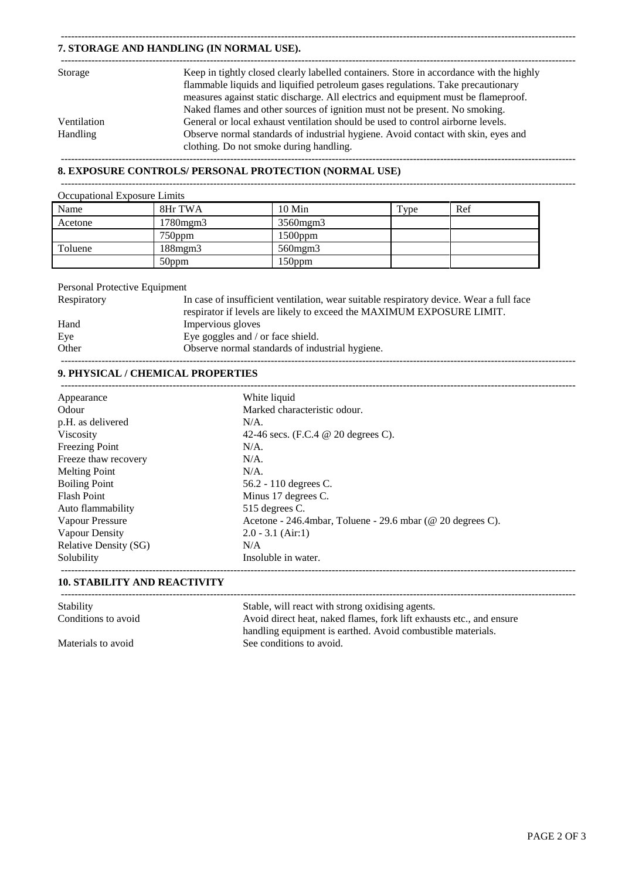# **7. STORAGE AND HANDLING (IN NORMAL USE).**

| Storage         | Keep in tightly closed clearly labelled containers. Store in accordance with the highly |
|-----------------|-----------------------------------------------------------------------------------------|
|                 | flammable liquids and liquified petroleum gases regulations. Take precautionary         |
|                 | measures against static discharge. All electrics and equipment must be flameproof.      |
|                 | Naked flames and other sources of ignition must not be present. No smoking.             |
| Ventilation     | General or local exhaust ventilation should be used to control airborne levels.         |
| <b>Handling</b> | Observe normal standards of industrial hygiene. Avoid contact with skin, eyes and       |
|                 | clothing. Do not smoke during handling.                                                 |
|                 |                                                                                         |

--------------------------------------------------------------------------------------------------------------------------------------------------------

# **8. EXPOSURE CONTROLS/ PERSONAL PROTECTION (NORMAL USE)**

--------------------------------------------------------------------------------------------------------------------------------------------------------

--------------------------------------------------------------------------------------------------------------------------------------------------------

| Occupational Exposure Limits |                |               |      |     |
|------------------------------|----------------|---------------|------|-----|
| Name                         | 8Hr TWA        | $10$ Min      | Type | Ref |
| Acetone                      | $1780$ mgm $3$ | 3560mgm3      |      |     |
|                              | $750$ ppm      | $1500$ ppm    |      |     |
| Toluene                      | $188$ mgm $3$  | $560$ mgm $3$ |      |     |
|                              | 50ppm          | 150ppm        |      |     |

## Personal Protective Equipment

| Respiratory | In case of insufficient ventilation, wear suitable respiratory device. Wear a full face<br>respirator if levels are likely to exceed the MAXIMUM EXPOSURE LIMIT. |
|-------------|------------------------------------------------------------------------------------------------------------------------------------------------------------------|
| Hand        | Impervious gloves                                                                                                                                                |
| Eye         | Eye goggles and / or face shield.                                                                                                                                |
| Other       | Observe normal standards of industrial hygiene.                                                                                                                  |
|             |                                                                                                                                                                  |

# **9. PHYSICAL / CHEMICAL PROPERTIES**

| Appearance                   | White liquid                                               |
|------------------------------|------------------------------------------------------------|
| Odour                        | Marked characteristic odour.                               |
| p.H. as delivered            | $N/A$ .                                                    |
| Viscosity                    | 42-46 secs. (F.C.4 $\omega$ 20 degrees C).                 |
| <b>Freezing Point</b>        | $N/A$ .                                                    |
| Freeze thaw recovery         | $N/A$ .                                                    |
| <b>Melting Point</b>         | $N/A$ .                                                    |
| <b>Boiling Point</b>         | 56.2 - 110 degrees C.                                      |
| <b>Flash Point</b>           | Minus 17 degrees C.                                        |
| Auto flammability            | 515 degrees C.                                             |
| Vapour Pressure              | Acetone - 246.4mbar, Toluene - 29.6 mbar (@ 20 degrees C). |
| Vapour Density               | $2.0 - 3.1$ (Air:1)                                        |
| <b>Relative Density (SG)</b> | N/A                                                        |
| Solubility                   | Insoluble in water.                                        |

## **10. STABILITY AND REACTIVITY**

| Stability           | Stable, will react with strong oxidising agents.                     |
|---------------------|----------------------------------------------------------------------|
| Conditions to avoid | Avoid direct heat, naked flames, fork lift exhausts etc., and ensure |
|                     | handling equipment is earthed. Avoid combustible materials.          |
| Materials to avoid  | See conditions to avoid.                                             |